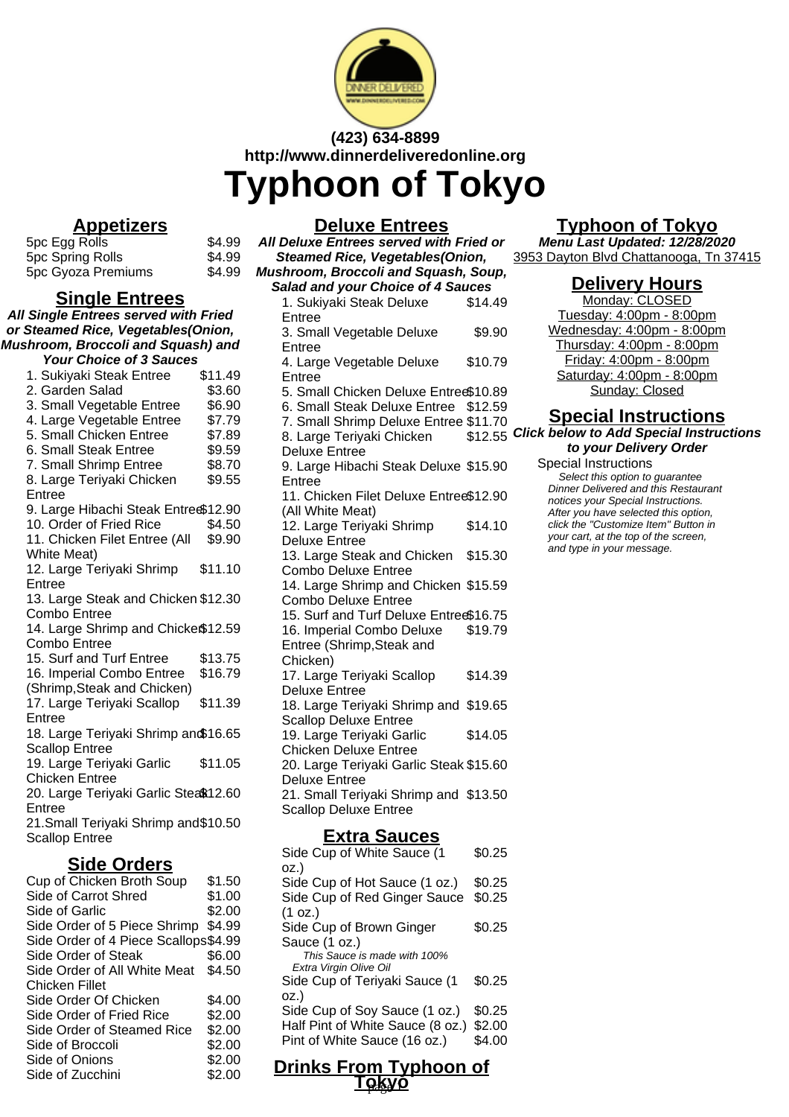

# **(423) 634-8899 http://www.dinnerdeliveredonline.org**

**Typhoon of Tokyo**

#### **Appetizers**

5pc Egg Rolls \$4.99<br>5pc Spring Rolls \$4.99 5pc Spring Rolls \$4.99<br>5pc Gyoza Premiums \$4.99 5pc Gyoza Premiums

#### **Single Entrees**

**All Single Entrees served with Fried or Steamed Rice, Vegetables(Onion, Mushroom, Broccoli and Squash) and Your Choice of 3 Sauces** 1. Sukiyaki Steak Entree \$11.49 2. Garden Salad \$3.60 3. Small Vegetable Entree \$6.90 4. Large Vegetable Entree \$7.79 5. Small Chicken Entree \$7.89 6. Small Steak Entree \$9.59 7. Small Shrimp Entree \$8.70 8. Large Teriyaki Chicken Entree \$9.55 9. Large Hibachi Steak Entrec\$12.90 10. Order of Fried Rice \$4.50 11. Chicken Filet Entree (All White Meat) \$9.90 12. Large Teriyaki Shrimp Entree \$11.10 13. Large Steak and Chicken \$12.30 Combo Entree 14. Large Shrimp and Chicken \$12.59 Combo Entree 15. Surf and Turf Entree \$13.75 16. Imperial Combo Entree (Shrimp,Steak and Chicken) \$16.79 17. Large Teriyaki Scallop Entree \$11.39

18. Large Teriyaki Shrimp and \$16.65 Scallop Entree

19. Large Teriyaki Garlic Chicken Entree \$11.05

20. Large Teriyaki Garlic Stea\$12.60 Entree

21.Small Teriyaki Shrimp and \$10.50 Scallop Entree

#### **Side Orders**

| Cup of Chicken Broth Soup            | \$1.50 |
|--------------------------------------|--------|
| Side of Carrot Shred                 | \$1.00 |
| Side of Garlic                       | \$2.00 |
| Side Order of 5 Piece Shrimp         | \$4.99 |
| Side Order of 4 Piece Scallops\$4.99 |        |
| Side Order of Steak                  | \$6.00 |
| Side Order of All White Meat         | \$4.50 |
| Chicken Fillet                       |        |
| Side Order Of Chicken                | \$4.00 |
| Side Order of Fried Rice             | \$2.00 |
| Side Order of Steamed Rice           | \$2.00 |
| Side of Broccoli                     | \$2.00 |
| Side of Onions                       | \$2.00 |
| Side of Zucchini                     | \$2.00 |

**Deluxe Entrees All Deluxe Entrees served with Fried or Steamed Rice, Vegetables(Onion, Mushroom, Broccoli and Squash, Soup, Salad and your Choice of 4 Sauces** 1. Sukiyaki Steak Deluxe Entree \$14.49 3. Small Vegetable Deluxe Entree \$9.90 4. Large Vegetable Deluxe Entree \$10.79 5. Small Chicken Deluxe Entree\$10.89 6. Small Steak Deluxe Entree \$12.59 7. Small Shrimp Deluxe Entree \$11.70 8. Large Teriyaki Chicken Deluxe Entree 9. Large Hibachi Steak Deluxe \$15.90 Entree 11. Chicken Filet Deluxe Entree \$12.90 (All White Meat) 12. Large Teriyaki Shrimp Deluxe Entree \$14.10 13. Large Steak and Chicken Combo Deluxe Entree \$15.30 14. Large Shrimp and Chicken \$15.59 Combo Deluxe Entree 15. Surf and Turf Deluxe Entree\$16.75 16. Imperial Combo Deluxe Entree (Shrimp,Steak and Chicken) \$19.79 17. Large Teriyaki Scallop Deluxe Entree \$14.39 18. Large Teriyaki Shrimp and \$19.65 Scallop Deluxe Entree 19. Large Teriyaki Garlic Chicken Deluxe Entree \$14.05 20. Large Teriyaki Garlic Steak \$15.60 Deluxe Entree 21. Small Teriyaki Shrimp and \$13.50 Scallop Deluxe Entree **Extra Sauces** Side Cup of White Sauce (1 oz.) \$0.25

| Drinks From Typhoon of                                 |  |        |
|--------------------------------------------------------|--|--------|
| Pint of White Sauce (16 oz.)                           |  | \$4.00 |
| Half Pint of White Sauce (8 oz.)                       |  | \$2.00 |
| oz.)<br>Side Cup of Soy Sauce (1 oz.)                  |  | \$0.25 |
| Side Cup of Teriyaki Sauce (1                          |  | \$0.25 |
| This Sauce is made with 100%<br>Extra Virgin Olive Oil |  |        |
| Sauce (1 oz.)                                          |  |        |
| Side Cup of Brown Ginger                               |  | \$0.25 |
| (1 oz.)                                                |  |        |
| Side Cup of Red Ginger Sauce                           |  | \$0.25 |
| oz.)<br>Side Cup of Hot Sauce (1 oz.)                  |  | \$0.25 |
|                                                        |  |        |

<u>Tokyo</u>

## **Typhoon of Tokyo**

**Menu Last Updated: 12/28/2020** 3953 Dayton Blvd Chattanooga, Tn 37415

#### **Delivery Hours**

Monday: CLOSED Tuesday: 4:00pm - 8:00pm Wednesday: 4:00pm - 8:00pm Thursday: 4:00pm - 8:00pm Friday: 4:00pm - 8:00pm Saturday: 4:00pm - 8:00pm Sunday: Closed

### **Special Instructions**

\$12.55 **Click below to Add Special Instructions to your Delivery Order**

Special Instructions Select this option to quarantee Dinner Delivered and this Restaurant notices your Special Instructions. After you have selected this option, click the "Customize Item" Button in your cart, at the top of the screen, and type in your message.